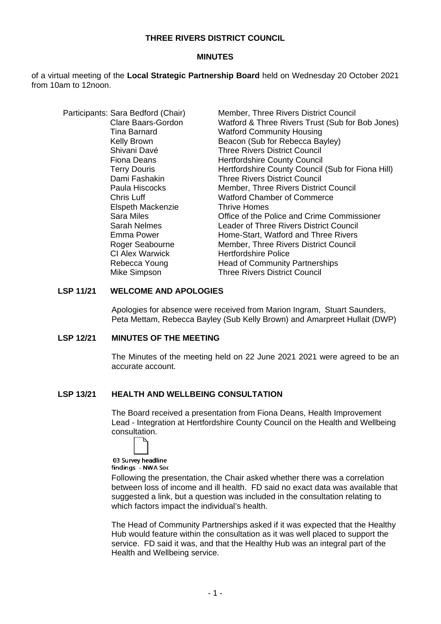## **THREE RIVERS DISTRICT COUNCIL**

#### **MINUTES**

of a virtual meeting of the **Local Strategic Partnership Board** held on Wednesday 20 October 2021 from 10am to 12noon.

|  | Participants: Sara Bedford (Chair) | Member, Three Rivers District Council             |
|--|------------------------------------|---------------------------------------------------|
|  | Clare Baars-Gordon                 | Watford & Three Rivers Trust (Sub for Bob Jones)  |
|  | Tina Barnard                       | <b>Watford Community Housing</b>                  |
|  | Kelly Brown                        | Beacon (Sub for Rebecca Bayley)                   |
|  | Shivani Davé                       | <b>Three Rivers District Council</b>              |
|  | <b>Fiona Deans</b>                 | <b>Hertfordshire County Council</b>               |
|  | <b>Terry Douris</b>                | Hertfordshire County Council (Sub for Fiona Hill) |
|  | Dami Fashakin                      | <b>Three Rivers District Council</b>              |
|  | Paula Hiscocks                     | Member, Three Rivers District Council             |
|  | Chris Luff                         | <b>Watford Chamber of Commerce</b>                |
|  | Elspeth Mackenzie                  | Thrive Homes                                      |
|  | <b>Sara Miles</b>                  | Office of the Police and Crime Commissioner       |
|  | <b>Sarah Nelmes</b>                | Leader of Three Rivers District Council           |
|  | Emma Power                         | Home-Start, Watford and Three Rivers              |
|  | Roger Seabourne                    | Member, Three Rivers District Council             |
|  | <b>CI Alex Warwick</b>             | <b>Hertfordshire Police</b>                       |
|  | Rebecca Young                      | <b>Head of Community Partnerships</b>             |
|  | Mike Simpson                       | <b>Three Rivers District Council</b>              |

## **LSP 11/21 WELCOME AND APOLOGIES**

Apologies for absence were received from Marion Ingram, Stuart Saunders, Peta Mettam, Rebecca Bayley (Sub Kelly Brown) and Amarpreet Hullait (DWP)

## **LSP 12/21 MINUTES OF THE MEETING**

The Minutes of the meeting held on 22 June 2021 2021 were agreed to be an accurate account.

#### **LSP 13/21 HEALTH AND WELLBEING CONSULTATION**

The Board received a presentation from Fiona Deans, Health Improvement Lead - Integration at Hertfordshire County Council on the Health and Wellbeing consultation.

03 Survey headline findings - NWA Soc

Following the presentation, the Chair asked whether there was a correlation between loss of income and ill health. FD said no exact data was available that suggested a link, but a question was included in the consultation relating to which factors impact the individual's health.

The Head of Community Partnerships asked if it was expected that the Healthy Hub would feature within the consultation as it was well placed to support the service. FD said it was, and that the Healthy Hub was an integral part of the Health and Wellbeing service.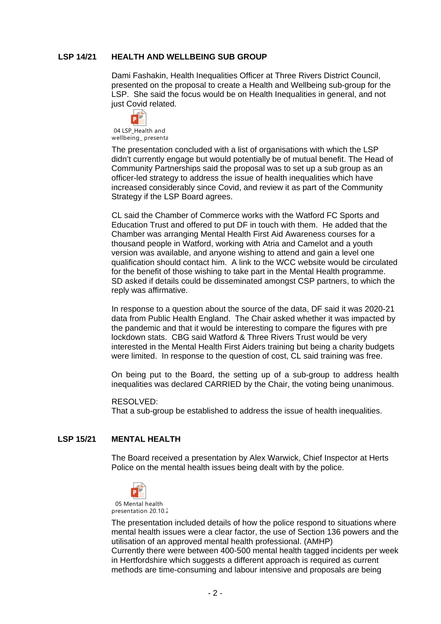## **LSP 14/21 HEALTH AND WELLBEING SUB GROUP**

Dami Fashakin, Health Inequalities Officer at Three Rivers District Council, presented on the proposal to create a Health and Wellbeing sub-group for the LSP. She said the focus would be on Health Inequalities in general, and not just Covid related.

 $\mathsf{P}$ 

04 LSP Health and wellbeing\_ presenta

The presentation concluded with a list of organisations with which the LSP didn't currently engage but would potentially be of mutual benefit. The Head of Community Partnerships said the proposal was to set up a sub group as an officer-led strategy to address the issue of health inequalities which have increased considerably since Covid, and review it as part of the Community Strategy if the LSP Board agrees.

CL said the Chamber of Commerce works with the Watford FC Sports and Education Trust and offered to put DF in touch with them. He added that the Chamber was arranging Mental Health First Aid Awareness courses for a thousand people in Watford, working with Atria and Camelot and a youth version was available, and anyone wishing to attend and gain a level one qualification should contact him. A link to the WCC website would be circulated for the benefit of those wishing to take part in the Mental Health programme. SD asked if details could be disseminated amongst CSP partners, to which the reply was affirmative.

In response to a question about the source of the data, DF said it was 2020-21 data from Public Health England. The Chair asked whether it was impacted by the pandemic and that it would be interesting to compare the figures with pre lockdown stats. CBG said Watford & Three Rivers Trust would be very interested in the Mental Health First Aiders training but being a charity budgets were limited. In response to the question of cost, CL said training was free.

On being put to the Board, the setting up of a sub-group to address health inequalities was declared CARRIED by the Chair, the voting being unanimous.

#### RESOLVED:

That a sub-group be established to address the issue of health inequalities.

# **LSP 15/21 MENTAL HEALTH**

The Board received a presentation by Alex Warwick, Chief Inspector at Herts Police on the mental health issues being dealt with by the police.



The presentation included details of how the police respond to situations where mental health issues were a clear factor, the use of Section 136 powers and the utilisation of an approved mental health professional. (AMHP) Currently there were between 400-500 mental health tagged incidents per week in Hertfordshire which suggests a different approach is required as current methods are time-consuming and labour intensive and proposals are being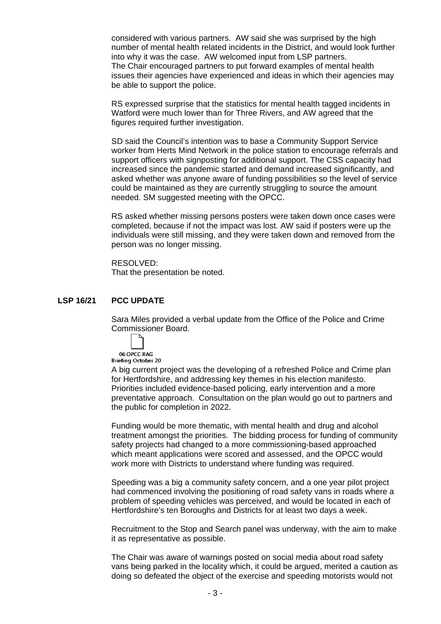considered with various partners. AW said she was surprised by the high number of mental health related incidents in the District, and would look further into why it was the case. AW welcomed input from LSP partners. The Chair encouraged partners to put forward examples of mental health issues their agencies have experienced and ideas in which their agencies may be able to support the police.

RS expressed surprise that the statistics for mental health tagged incidents in Watford were much lower than for Three Rivers, and AW agreed that the figures required further investigation.

SD said the Council's intention was to base a Community Support Service worker from Herts Mind Network in the police station to encourage referrals and support officers with signposting for additional support. The CSS capacity had increased since the pandemic started and demand increased significantly, and asked whether was anyone aware of funding possibilities so the level of service could be maintained as they are currently struggling to source the amount needed. SM suggested meeting with the OPCC.

RS asked whether missing persons posters were taken down once cases were completed, because if not the impact was lost. AW said if posters were up the individuals were still missing, and they were taken down and removed from the person was no longer missing.

RESOLVED: That the presentation be noted.

## **LSP 16/21 PCC UPDATE**

Sara Miles provided a verbal update from the Office of the Police and Crime Commissioner Board.

06 OPCC RAG Briefing October 20

A big current project was the developing of a refreshed Police and Crime plan for Hertfordshire, and addressing key themes in his election manifesto. Priorities included evidence-based policing, early intervention and a more preventative approach. Consultation on the plan would go out to partners and the public for completion in 2022.

Funding would be more thematic, with mental health and drug and alcohol treatment amongst the priorities. The bidding process for funding of community safety projects had changed to a more commissioning-based approached which meant applications were scored and assessed, and the OPCC would work more with Districts to understand where funding was required.

Speeding was a big a community safety concern, and a one year pilot project had commenced involving the positioning of road safety vans in roads where a problem of speeding vehicles was perceived, and would be located in each of Hertfordshire's ten Boroughs and Districts for at least two days a week.

Recruitment to the Stop and Search panel was underway, with the aim to make it as representative as possible.

The Chair was aware of warnings posted on social media about road safety vans being parked in the locality which, it could be argued, merited a caution as doing so defeated the object of the exercise and speeding motorists would not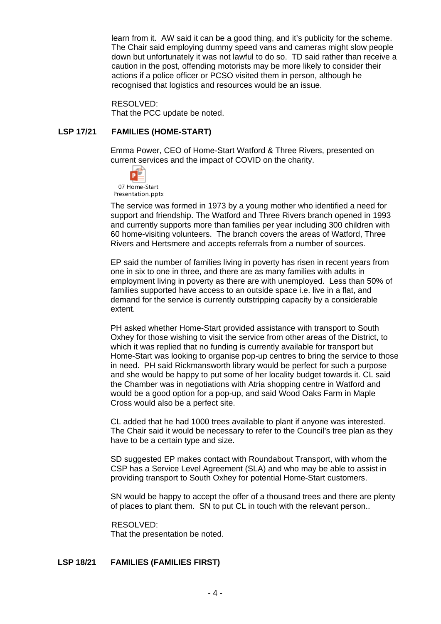learn from it. AW said it can be a good thing, and it's publicity for the scheme. The Chair said employing dummy speed vans and cameras might slow people down but unfortunately it was not lawful to do so. TD said rather than receive a caution in the post, offending motorists may be more likely to consider their actions if a police officer or PCSO visited them in person, although he recognised that logistics and resources would be an issue.

RESOLVED: That the PCC update be noted.

## **LSP 17/21 FAMILIES (HOME-START)**

Emma Power, CEO of Home-Start Watford & Three Rivers, presented on current services and the impact of COVID on the charity.



07 Home-Start Presentation.pptx

The service was formed in 1973 by a young mother who identified a need for support and friendship. The Watford and Three Rivers branch opened in 1993 and currently supports more than families per year including 300 children with 60 home-visiting volunteers. The branch covers the areas of Watford, Three Rivers and Hertsmere and accepts referrals from a number of sources.

EP said the number of families living in poverty has risen in recent years from one in six to one in three, and there are as many families with adults in employment living in poverty as there are with unemployed. Less than 50% of families supported have access to an outside space i.e. live in a flat, and demand for the service is currently outstripping capacity by a considerable extent.

PH asked whether Home-Start provided assistance with transport to South Oxhey for those wishing to visit the service from other areas of the District, to which it was replied that no funding is currently available for transport but Home-Start was looking to organise pop-up centres to bring the service to those in need. PH said Rickmansworth library would be perfect for such a purpose and she would be happy to put some of her locality budget towards it. CL said the Chamber was in negotiations with Atria shopping centre in Watford and would be a good option for a pop-up, and said Wood Oaks Farm in Maple Cross would also be a perfect site.

CL added that he had 1000 trees available to plant if anyone was interested. The Chair said it would be necessary to refer to the Council's tree plan as they have to be a certain type and size.

SD suggested EP makes contact with Roundabout Transport, with whom the CSP has a Service Level Agreement (SLA) and who may be able to assist in providing transport to South Oxhey for potential Home-Start customers.

SN would be happy to accept the offer of a thousand trees and there are plenty of places to plant them. SN to put CL in touch with the relevant person..

RESOLVED: That the presentation be noted.

# **LSP 18/21 FAMILIES (FAMILIES FIRST)**